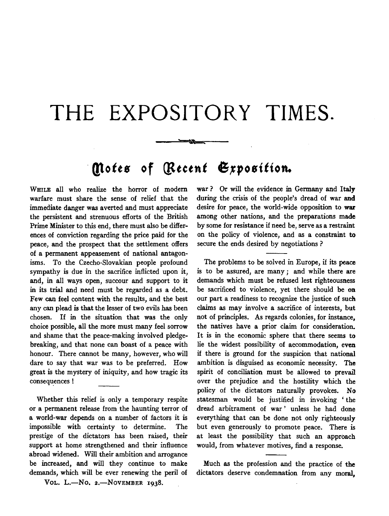## **THE EXPOSITORY TIMES.**

 $\sim$ 

## · **Qtotts of** *Qttctnt* **6,rpositton.**

WHILE all who realize the horror of modem warfare must share the sense of relief that the immediate danger was averted and must appreciate the persistent and strenuous efforts of the British Prime Minister to this end, there must also be differences of conviction regarding the price paid for the peace, and the prospect that the settlement offers of a permanent appeasement of national antagonisms. To the Czecho-Slovakian people profound sympathy is due in the sacrifice inflicted upon it, and, in all ways open, succour and support to it in its trial and need must be regarded as a debt. Few can feel content with the results, and the best any can plead is that the lesser of two evils has been chosen. If in the situation that was the only choice possible, all the more must many feel sorrow and shame that the peace-making involved pledgebreaking, and that none can boast of a peace with honour. There cannot be many, however, who will dare to say that war was to be preferred. How great is the mystery of iniquity, and how tragic its consequences !

Whether this relief is only a temporary respite or a permanent release from the haunting terror of a world-war depends on a number of factors it is impossible with certainty to determine. The prestige of the dictators has been raised, their support at home strengthened and their influence abroad widened. Will their ambition and arrogance be increased, and will they continue to make demands, which will be ever renewing the peril of

VOL. L.-No. 2.-NOVEMBER 1938.

war ? Or will the evidence in Germany and Italy during the crisis of the people's dread of war and desire for peace, the world-wide opposition to war among other nations, and the preparations made by some for resistance if need be, serve as a restraint on the policy of violence, and as a constraint to secure the ends desired by negotiations ?

The problems to be solved in Europe, if its peace is to be assured, are many; and while there are demands which must be refused lest righteousness be sacrificed to violence, yet there should be on our part a readiness to recognize the justice of such claims as may involve a sacrifice of interests, but not of principles. As regards colonies, for instance, the natives have a prior claim for consideration. It is in the economic sphere that there seems to lie the widest possibility of accommodation, even if there is ground for the suspicion that national ambition is disguised as economic necessity. The spirit of conciliation must be allowed to prevail over the prejudice and the hostility which the policy of the dictators naturally provokes. No statesman would be justified in invoking ' the dread arbitrament of war ' unless he had done everything that can be done not only righteously but even generously to promote peace. There is at least the possibility that such an approach would, from whatever motives, find a response.

Much as the profession and the practice of the dictators deserve condemnation from any moral,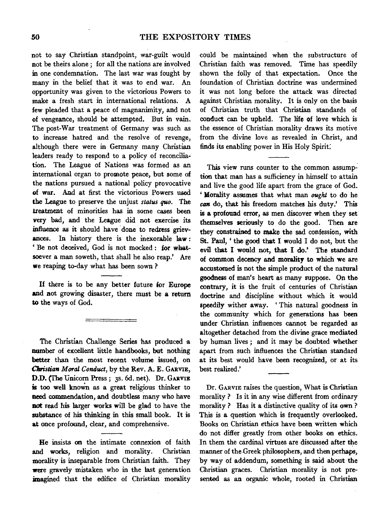not to say Christian standpoint, war-guilt would not be theirs alone; for all the nations are involved in one condemnation. The last war was fought by many in the belief that it was to end war. An opportunity was given to the victorious Powers to make a fresh start in international relations. A few pleaded that a peace of magnanimity, and not of vengeance, should be attempted. But in vain. The post-War treatment of Germany was such as to increase hatred and the resolve of revenge, although there were in Germany many Christian leaders ready to respond to a policy of reconciliation. The League of Nations was formed as an international organ to promote peace, but some of the nations pursued a national policy provocative of war. And at first the victorious Powers used the League to preserve the unjust *status quo.* The treatment of minorities has in some cases been very bad, and the League did not exercise its influence as it should have done to redress grievances. In history there is the inexorable Jaw : 'Be not deceived, God is not mocked: for whatsoever a man soweth, that shall he also reap.' Are we reaping to-day what has been sown?

If there is to be any better future for Europe and not growing disaster, there must be a return to the ways of God.

The Christian Challenge Series has produced a number of excellent little handbooks, but nothing better than the most recent vo1ume issued, on *Clwistian Moral Conduct,* by the Rev. A. E. GARVIE, D.D. (The Unicorn Press ; 3s. 6d. net). Dr. GARVIE is too well known as a great religious thinker to need commendation, and doubtless many who have not read his larger works will be glad to have the substance of his thinking in this small book. It is at once profound, clear, and comprehensive.

He insists on the intimate connexion of faith and works, religion and morality. Christian morality is inseparable from Christian faith. They were gravely mistaken who in the last generation imagined that the edifice of Christian morality could be maintained when the substructure of Christian faith was removed. Time has speedily shown the folly of that expectation. Once the foundation of Christian doctrine was undermined it was not long before the attack was directed against Christian morality. It is only on the basis of Christian truth that Christian standards of conduct can be upheld. The life of love which is the essence of Christian morality draws its motive from the divine love as revealed in Christ, and finds its enabling power in His Holy Spirit:

This view runs counter to the common assumption that man has a sufficiency in himself to attain and live the good life apart from the grace of God. ' Morality assumes that what man ought to do he *can* do, that his freedom matches his duty.' This is a profound error, as men discover when they set themselves seriously to do the good. Then are they constrained to make the sad confession, with St. Paul, ' the good that I would I do not, but the evil that I would not, that I do.' The standard of common decency and morality to which we are accustomed is not the simple product of the natural goodness of man's heart as many suppose. On the contrary, it is the fruit of centuries of Christian doctrine and discipline without which it would speedily wither away. 'This natural goodness in the community which for generations has been under Christian influences cannot be regarded as altogether detached from the divine grace mediated by human lives; and it may be doubted whether apart from such influences the Christian standard at its best would have been recognized, or at its best realized.'

Dr. GARVIE raises the question, What is Christian morality ? Is it in any wise different from ordinary morality ? Has it a distinctive quality of its own ? This is a question which is frequently overlooked. Books on Christian ethics have been written which do not differ greatly from other books on ethics. In them the cardinal virtues are discussed after the manner of the Greek philosophers, and then perhaps, by way of addendum, something is Said about the Christian graces. Christian morality is not presented as an organic whole; rooted in Christian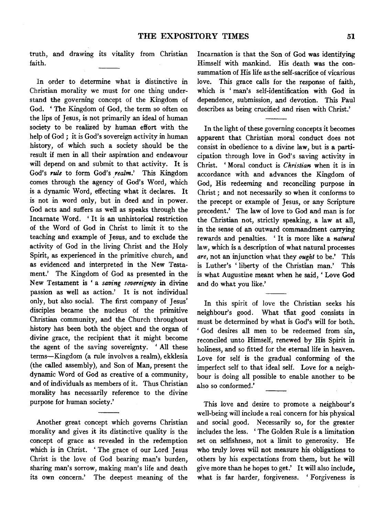truth, and drawing its vitality from Christian faith.

In order to determine what is distinctive in Christian morality we must for one thing understand the governing concept of the Kingdom of God. 'The Kingdom of God, the term so often on the lips of Jesus, is not primarily an ideal of human society to be realized by human effort with the help of God ; it is God's sovereign activity in human history, of which such a society should be the result if men in all their aspiration and endeavour will depend on and submit to that activity. It is God's *rule* to form God's *realm*.' This Kingdom comes through the agency of God's Word, which is a dynamic Word, effecting what it declares. It is not in word only, but in deed and in power. God acts and suffers as well as speaks through the Incarnate Word. 'It is an unhistorical restriction of the Word of God in Christ to limit it to the teaching and example of Jesus, and to exclude the activity of God in the living Christ and the Holy Spirit, as experienced in the primitive church, and as evidenced and interpreted in the New Testament.' The Kingdom of God as presented in the New Testament is 'a *saving sovereignty* in divine passion as well as action.' It is not individual only, but also social. The first company of Jesus' disciples became the nucleus of the primitive Christian community, and the Church throughout history has been both the object and the organ of divine grace, the recipient that it might become the agent of the saving sovereignty. 'All these terms-Kingdom (a rule involves a realm), ekklesia (the called assembly), and Son of Man, present the dynamic Word of God as creative of a community, and of individuals as members of it. Thus Christian morality has necessarily reference to the divine purpose for human society.'

Another great concept which governs Christian morality and gives it its distinctive quality is the concept of grace as revealed in the redemption which is in Christ. ' The grace of our Lord Jesus Christ is the love of God bearing man's burden, sharing man's sorrow, making man's life and death its own concern.' The deepest meaning of the

Incarnation is that the Son of God was identifying Himself with mankind. His death was the consummation of His life as the self-sacrifice of vicarious love. This grace calls for the response of faith, which is ' man's self-identification with God in dependence, submission, and devotion. This Paul describes as being crucified and risen with Christ.'

In the light of these governing concepts it becomes apparent that Christian moral conduct does not consist in obedience to a divine law, but is a participation through love in God's saving activity in Christ. ' Moral conduct is *Christian* when it is in accordance with and advances the Kingdom of God, His redeeming and reconciling purpose in Christ ; and not necessarily so when it conforms to the precept or example of Jesus, or any Scripture precedent.' The law of love to God and man is for the Christian not, strictly speaking, a law at all, in the sense of an outward commandment carrying rewards and penalties. ' It is more like a *natural*  law, which is a description of what natural processes *are,* not an injunction what they *ought* to be.' This is Luther's 'liberty of the Christian man.' This is what Augustine meant when he said, 'Love God and do what you like.'

In this spirit of love the Christian seeks his neighbour's good. What that good consists in must be determined by what is God's will for both. ' God desires all men to be redeemed from sin, reconciled unto Himself, renewed by His Spirit in holiness, and so fitted for the eternal life in heaven. Love for self is the gradual conforming of the imperfect self to that ideal self. Love for a neighbour is doing all possible to enable another to be also so conformed.'

This love and desire to promote a neighbour's well-being will include a real concern for his physical and social good. Necessarily so, for the greater includes the less. ' The Golden Rule is a limitation set on selfishness, not a limit to generosity. He who truly loves will not measure his obligations to others by his expectations from them, but he will give more than he hopes to get.' It will also include, what is far harder, forgiveness. 'Forgiveness is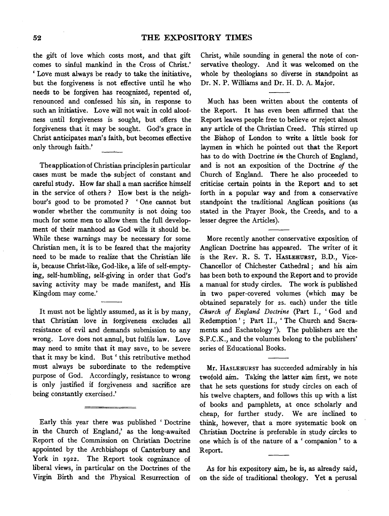the gift of love which costs most, and that gift comes to sinful mankind in the Cross of Christ.' 'Love must always be ready to take the initiative, but the forgiveness is not effective until he who needs to be forgiven has recognized, repented of, renounced and confessed his sin, in response to such an initiative. Love will not wait in cold aloofness until forgiveness is sought, but offers the forgiveness that it may be sought. God's grace in Christ anticipates man's faith, but becomes effective only through faith.'

Theapplicationof Christian principles in particular cases must be made the subject of constant and careful study. How far shall a man sacrifice himself in the service of others ? How best is the neighbour's good to be promoted? 'One cannot but wonder whether the community is not doing too much for some men to allow them the full development of their manhood as God wills it should be. While these warnings may be necessary for some Christian men, it is to be feared that the majority need to be made to realize that the Christian life is, because Christ-like, God-like, a life of self-emptying, self-humbling, self-giving in order that God's saving activity may be made manifest, and His Kingdom may come.'

It must not be lightly assumed, as it is by many, that Christian love in forgiveness excludes all resistance of evil and demands submission to any wrong. Love does not annul, but fulfils law. Love may need to smite that it may save, to be severe that it may be kind. But ' this retributive method must always be subordinate to the redemptive purpose of God. Accordingly, resistance to wrong is only justified if forgiveness and sacrifice are being constantly exercised.'

Early this year there was published ' Doctrine in the Church of England,' as the long-awaited Report of the Commission on Christian Doctrine appointed by the Archbishops of Canterbury and York in 1922. The Report took cognizance of liberal views, in particular on the Doctrines of the Virgin Birth and the Physical Resurrection of Christ, while sounding in general the note of conservative theology. And it was welcomed on the whole by theologians so diverse in standpoint as Dr. N. P. Williams and Dr. H. D. A. Major.

Much has been written about the contents of the Report. It has even been affirmed that the Report leaves people free to believe or reject almost any article of the Christian Creed. This stirred up the Bishop of London to write a little book for laymen in which he pointed out that the Report has to do with Doctrine *in* the Church of England, and is not an exposition of the Doctrine *of* the Church of England. There he also proceeded to criticise certain points in the Report and to set forth in a popular way and from a conservative standpoint the traditional Anglican positions (as stated in the Prayer Book, the Creeds, and to a lesser degree the Articles).

More recently another conservative exposition of Anglican Doctrine has appeared. The writer of it is the Rev. R. S. T. HASLEHURST, B.D., Vice-Chancellor of Chichester Cathedral ; and his aim has been both to expound the Report and to provide a manual for study circles. The work is published in two paper-covered volumes (which may be obtained separately for 2s. each) under the title *Church of England Doctrine* (Part I., 'God and Redemption' ; Part II., 'The Church and Sacraments and Eschatology '). The publishers are the S.P.C.K., and the volumes belong to the publishers' series of Educational Books.

Mr. HASLEHURST has succeeded admirably in his twofold aim. Taking the latter aim first, we note that he sets questions for study circles on each of his twelve chapters, and follows this up with a list of books and pamphlets, at once scholarly and cheap, for further study. We are inclined to think, however, that a more systematic book on Christian Doctrine is preferable in study circles to one which is of the nature of a ' companion ' to a Report.

As for his expository aim, he is, as already said, on the side of traditional theology. Yet a perusal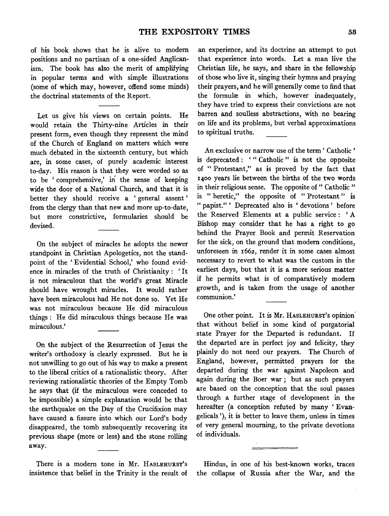of his book shows that he is alive to modem positions and no partisan of a one-sided Anglicanism. The book has also the merit of amplifying in popular terms and with simple illustrations (some of which may, however, offend some minds) the doctrinal statements of the Report.

Let us give his views on certain points. He would retain the Thirty-nine Articles in their present form, even though they represent the mind of the Church of England on matters which were much debated in the sixteenth century, but which are, in some cases, of purely academic interest to-day. His reason is that they were worded so as to be ' comprehensive,' in the sense of keeping wide the door of a National Church, and that it is better they should receive a ' general assent ' from the clergy than that new and more up-to-date, but more constrictive, formularies should be devised.

On the subject of miracles he adopts the newer standpoint in Christian Apologetics, not the standpoint of the 'Evidential School,' who found evidence in miracles of the truth of Christianity : ' It is not miraculous that the world's great Miracle should have wrought miracles. It would rather have been miraculous had He not done so. Yet He was not miraculous because He did miraculous things : He did miraculous things because He was miraculous.'

On the subject of the Resurrection of Jesus the writer's orthodoxy is clearly expressed. But he is not unwilling to go out of his way to make a present to the liberal critics of a rationalistic theory. After reviewing rationalistic theories of the Empty Tomb he says that (if the miraculous were conceded to be impossible) a simple explanation would be that the earthquake on the Day of the Crucifixion may have caused a fissure into which our Lord's body disappeared, the tomb subsequently recovering its previous shape (more or less) and the stone rolling away.

There is a modem tone in Mr. HASLEHURST's insistence that belief in the Trinity is the result of

an experience, and its doctrine an attempt to put that experience into words. Let a man live the Christian life, he says, and share in the fellowship of those who live it, singing their hymns and praying their prayers, and he will generally come to find that the formulæ in which, however inadequately, they have tried to express their convictions are not barren and soulless abstractions, with no bearing on life and its problems, but verbal approximations to spiritual truths.

An exclusive or narrow use of the term ' Catholic ' is deprecated : '" Catholic " is not the opposite of " Protestant," as is proved by the fact that 1400 years lie between the births of the two words in their religious sense. The opposite of " Catholic " is " heretic," the opposite of " Protestant " is " papist.'' ' Deprecated also is ' devotions ' before the Reserved Elements at a public service : ' A Bishop may consider that he has a right to go behind the Prayer Book and permit Reservation for the sick, on the ground that modem conditions, unforeseen in 1662, render it in some cases almost necessary to revert to what was the custom in the earliest days, but that it is a more serious matter if he permits what is of comparatively modem growth, and is taken from the usage of another communion.'

One other point. It is Mr. HASLEHURST's opinion· that without belief in some kind of purgatorial state Prayer for the Departed is redundant. If the departed are in perfect joy and felicity, they plainly do not need our prayers. The Church of England, however, permitted prayers for the departed during the war against Napoleon and again during the Boer war ; but as such prayers are based on the conception that the soul passes through a further stage of development in the hereafter (a conception refuted by many 'Evangelicals '), it is better to leave them, unless in times of very general mourning, to the private devotions of individuals.

Hindus, in one of his best-known works, traces the collapse of Russia after the War, and the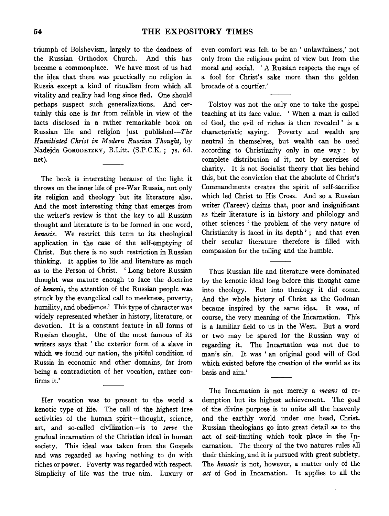triumph of Bolshevism, largely to the deadness of the Russian Orthodox Church. And this has become a commonplace. We have most of us had the idea that there was practically no religion in Russia except a kind of ritualism from which all vitality and reality had long since fled. One should perhaps suspect such generalizations. And certainly this one is far from reliable in view of the facts disclosed in a rather remarkable book on Russian life and religion just published- $The$ *Humiliated Christ in Modern Russian Thought,* by Nadejda GORODETZKY, B.Litt. (S.P.C.K.; 7s. 6d. net).

The book is interesting because of the light it throws on the inner life of pre-War Russia, not only its religion and theology but its literature also. And the most interesting thing that emerges from the writer's review is that the key to all Russian thought and literature is to be formed in one word, *kenosis.* We restrict this term to its theological application in the case of the self-emptying of Christ. But there is no such restriction in Russian thinking. It applies to life and literature as much as to the Person of Christ. ' Long before Russian thought was mature enough to face the doctrine of *kenosis,* the attention of the Russian people was struck by the evangelical call to meekness, poverty, humility, and obedience.' This type of character was widely represented whether in history, literature, or devotion. It is a constant feature in all forms of Russian thought. One of the most famous of its writers says that ' the exterior form of a slave in which we found our nation, the pitiful condition of Russia in economic and other domains, far from being a contradiction of her vocation, rather confirms it.'

Her vocation was to present to the world a kenotic type of life. The call of the highest free activities of the human spirit--thought, science, art, and so-called civilization-is to *serve* the gradual incarnation of the Christian ideal in human society. This ideal was taken from the Gospels and was regarded as having nothing to do with riches or power. Poverty was regarded with respect. Simplicity of life was the true aim. Luxury or even comfort was felt to be an ' unlawfulness,' not only from the religious point of view but from the moral and social. ' A Russian respects the rags of a fool for Christ's sake more than the golden brocade of a courtier.'

Tolstoy was not the only one to take the gospel teaching at its face value. 'When a man is called of God, the evil of riches is then revealed ' is a characteristic saying. Poverty and wealth are neutral in themselves, but wealth can be used according to Christianity only in one way: by complete distribution of it, not by exercises of charity. It is not Socialist theory that lies behind this, but the conviction that the absolute of Christ's Commandments creates the spirit of self-sacrifice which led Christ to His Cross. And so a Russian writer (Tareev) claims that, poor and insignificant as their literature is in history and philology and other sciences ' the problem of the very nature of Christianity is faced in its depth'; and that even their secular literature therefore is filled with compassion for the toiling and the humble.

Thus Russian life and literature were dominated by the kenotic ideal long before this thought came into theology. But into theology it did come. And the whole history of Christ as the Godman became inspired by the same idea. It was, of course, the very meaning of the Incarnation. This is a familiar field to us in the West. But a word or two may be spared for the Russian way of regarding it. The Incarnation was not due to man's sin. It was 'an original good will of God which existed before the creation of the world as its basis and aim.'

The Incarnation is not merely a *means* of redemption but its highest achievement. The goal of the divine purpose is to unite all the heavenly and the earthly world under one head, Christ. Russian theologians go into great detail as to the act of self-limiting which took place in the Incarnation. The theory of the two natures rules all their thinking, and it is pursued with great subtlety. The *kenosis* is not, however, a matter only of the *act* of God in Incarnation. It applies to all the